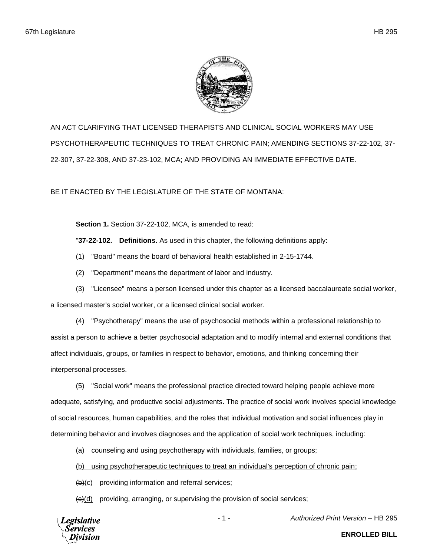

AN ACT CLARIFYING THAT LICENSED THERAPISTS AND CLINICAL SOCIAL WORKERS MAY USE PSYCHOTHERAPEUTIC TECHNIQUES TO TREAT CHRONIC PAIN; AMENDING SECTIONS 37-22-102, 37- 22-307, 37-22-308, AND 37-23-102, MCA; AND PROVIDING AN IMMEDIATE EFFECTIVE DATE.

BE IT ENACTED BY THE LEGISLATURE OF THE STATE OF MONTANA:

**Section 1.** Section 37-22-102, MCA, is amended to read:

"**37-22-102. Definitions.** As used in this chapter, the following definitions apply:

- (1) "Board" means the board of behavioral health established in 2-15-1744.
- (2) "Department" means the department of labor and industry.
- (3) "Licensee" means a person licensed under this chapter as a licensed baccalaureate social worker,

a licensed master's social worker, or a licensed clinical social worker.

(4) "Psychotherapy" means the use of psychosocial methods within a professional relationship to assist a person to achieve a better psychosocial adaptation and to modify internal and external conditions that affect individuals, groups, or families in respect to behavior, emotions, and thinking concerning their interpersonal processes.

(5) "Social work" means the professional practice directed toward helping people achieve more adequate, satisfying, and productive social adjustments. The practice of social work involves special knowledge of social resources, human capabilities, and the roles that individual motivation and social influences play in determining behavior and involves diagnoses and the application of social work techniques, including:

(a) counseling and using psychotherapy with individuals, families, or groups;

(b) using psychotherapeutic techniques to treat an individual's perception of chronic pain;

 $(b)(c)$  providing information and referral services;

 $\left(\frac{c}{c}\right)$  providing, arranging, or supervising the provision of social services;

Legislative

- 1 - *Authorized Print Version* – HB 295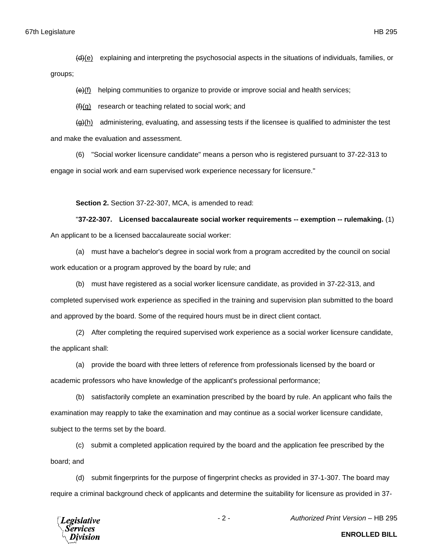groups;

 $\left\langle \Theta \right\rangle$ (f) helping communities to organize to provide or improve social and health services;

 $(f)(g)$  research or teaching related to social work; and

 $\left\langle \theta \right\rangle$ (h) administering, evaluating, and assessing tests if the licensee is qualified to administer the test and make the evaluation and assessment.

(6) "Social worker licensure candidate" means a person who is registered pursuant to 37-22-313 to engage in social work and earn supervised work experience necessary for licensure."

## **Section 2.** Section 37-22-307, MCA, is amended to read:

"**37-22-307. Licensed baccalaureate social worker requirements -- exemption -- rulemaking.** (1) An applicant to be a licensed baccalaureate social worker:

(a) must have a bachelor's degree in social work from a program accredited by the council on social work education or a program approved by the board by rule; and

(b) must have registered as a social worker licensure candidate, as provided in 37-22-313, and completed supervised work experience as specified in the training and supervision plan submitted to the board and approved by the board. Some of the required hours must be in direct client contact.

(2) After completing the required supervised work experience as a social worker licensure candidate, the applicant shall:

(a) provide the board with three letters of reference from professionals licensed by the board or academic professors who have knowledge of the applicant's professional performance;

(b) satisfactorily complete an examination prescribed by the board by rule. An applicant who fails the examination may reapply to take the examination and may continue as a social worker licensure candidate, subject to the terms set by the board.

(c) submit a completed application required by the board and the application fee prescribed by the board; and

(d) submit fingerprints for the purpose of fingerprint checks as provided in 37-1-307. The board may require a criminal background check of applicants and determine the suitability for licensure as provided in 37-



- 2 - *Authorized Print Version* – HB 295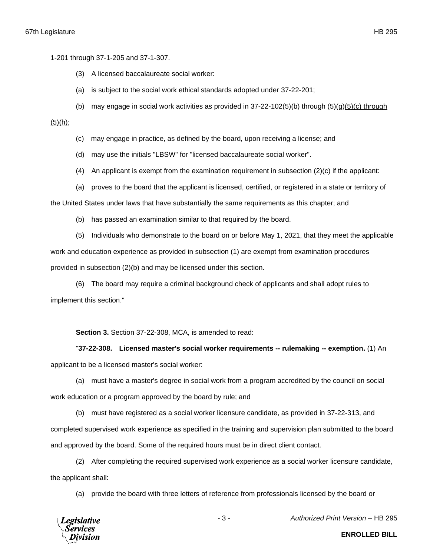1-201 through 37-1-205 and 37-1-307.

- (3) A licensed baccalaureate social worker:
- (a) is subject to the social work ethical standards adopted under 37-22-201;
- (b) may engage in social work activities as provided in  $37-22-102 $(6)$  through  $(6)(6)$  through$

 $(5)(h)$ ;

- (c) may engage in practice, as defined by the board, upon receiving a license; and
- (d) may use the initials "LBSW" for "licensed baccalaureate social worker".
- (4) An applicant is exempt from the examination requirement in subsection (2)(c) if the applicant:
- (a) proves to the board that the applicant is licensed, certified, or registered in a state or territory of

the United States under laws that have substantially the same requirements as this chapter; and

(b) has passed an examination similar to that required by the board.

(5) Individuals who demonstrate to the board on or before May 1, 2021, that they meet the applicable work and education experience as provided in subsection (1) are exempt from examination procedures provided in subsection (2)(b) and may be licensed under this section.

(6) The board may require a criminal background check of applicants and shall adopt rules to implement this section."

**Section 3.** Section 37-22-308, MCA, is amended to read:

"**37-22-308. Licensed master's social worker requirements -- rulemaking -- exemption.** (1) An applicant to be a licensed master's social worker:

(a) must have a master's degree in social work from a program accredited by the council on social work education or a program approved by the board by rule; and

(b) must have registered as a social worker licensure candidate, as provided in 37-22-313, and completed supervised work experience as specified in the training and supervision plan submitted to the board and approved by the board. Some of the required hours must be in direct client contact.

(2) After completing the required supervised work experience as a social worker licensure candidate, the applicant shall:

(a) provide the board with three letters of reference from professionals licensed by the board or



- 3 - *Authorized Print Version* – HB 295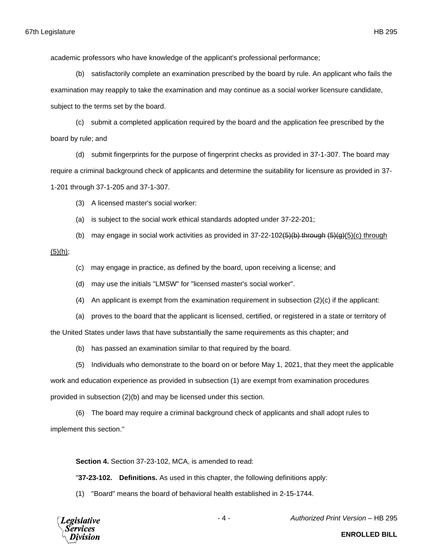academic professors who have knowledge of the applicant's professional performance;

(b) satisfactorily complete an examination prescribed by the board by rule. An applicant who fails the examination may reapply to take the examination and may continue as a social worker licensure candidate, subject to the terms set by the board.

(c) submit a completed application required by the board and the application fee prescribed by the board by rule; and

(d) submit fingerprints for the purpose of fingerprint checks as provided in 37-1-307. The board may require a criminal background check of applicants and determine the suitability for licensure as provided in 37- 1-201 through 37-1-205 and 37-1-307.

(3) A licensed master's social worker:

(a) is subject to the social work ethical standards adopted under 37-22-201;

(b) may engage in social work activities as provided in  $37-22-102(5)(b)$  through  $(5)(g)(c)$  through

(5)(h);

- (c) may engage in practice, as defined by the board, upon receiving a license; and
- (d) may use the initials "LMSW" for "licensed master's social worker".
- (4) An applicant is exempt from the examination requirement in subsection (2)(c) if the applicant:
- (a) proves to the board that the applicant is licensed, certified, or registered in a state or territory of

the United States under laws that have substantially the same requirements as this chapter; and

(b) has passed an examination similar to that required by the board.

(5) Individuals who demonstrate to the board on or before May 1, 2021, that they meet the applicable

work and education experience as provided in subsection (1) are exempt from examination procedures provided in subsection (2)(b) and may be licensed under this section.

(6) The board may require a criminal background check of applicants and shall adopt rules to implement this section."

**Section 4.** Section 37-23-102, MCA, is amended to read:

"**37-23-102. Definitions.** As used in this chapter, the following definitions apply:

(1) "Board" means the board of behavioral health established in 2-15-1744.



- 4 - *Authorized Print Version* – HB 295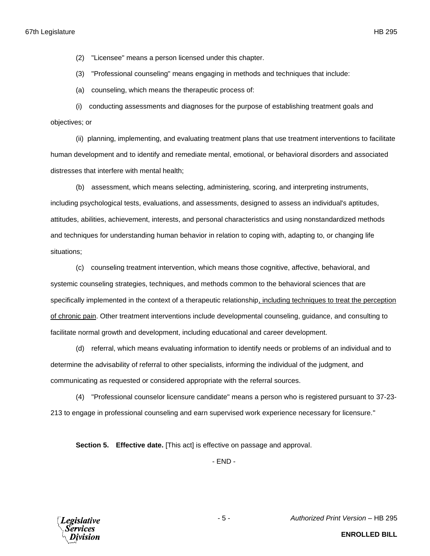(2) "Licensee" means a person licensed under this chapter.

(3) "Professional counseling" means engaging in methods and techniques that include:

(a) counseling, which means the therapeutic process of:

(i) conducting assessments and diagnoses for the purpose of establishing treatment goals and objectives; or

(ii) planning, implementing, and evaluating treatment plans that use treatment interventions to facilitate human development and to identify and remediate mental, emotional, or behavioral disorders and associated distresses that interfere with mental health;

(b) assessment, which means selecting, administering, scoring, and interpreting instruments, including psychological tests, evaluations, and assessments, designed to assess an individual's aptitudes, attitudes, abilities, achievement, interests, and personal characteristics and using nonstandardized methods and techniques for understanding human behavior in relation to coping with, adapting to, or changing life situations;

(c) counseling treatment intervention, which means those cognitive, affective, behavioral, and systemic counseling strategies, techniques, and methods common to the behavioral sciences that are specifically implemented in the context of a therapeutic relationship, including techniques to treat the perception of chronic pain. Other treatment interventions include developmental counseling, guidance, and consulting to facilitate normal growth and development, including educational and career development.

(d) referral, which means evaluating information to identify needs or problems of an individual and to determine the advisability of referral to other specialists, informing the individual of the judgment, and communicating as requested or considered appropriate with the referral sources.

(4) "Professional counselor licensure candidate" means a person who is registered pursuant to 37-23- 213 to engage in professional counseling and earn supervised work experience necessary for licensure."

**Section 5. Effective date.** [This act] is effective on passage and approval.

- END -



- 5 - *Authorized Print Version* – HB 295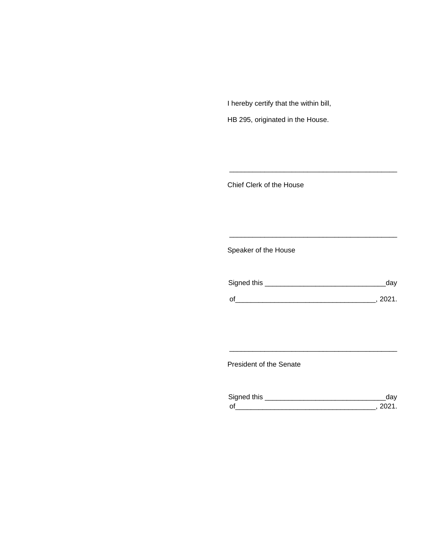I hereby certify that the within bill,

HB 295, originated in the House.

Chief Clerk of the House

Speaker of the House

| Signed this | dav    |
|-------------|--------|
| $\Omega$    | - 2021 |

\_\_\_\_\_\_\_\_\_\_\_\_\_\_\_\_\_\_\_\_\_\_\_\_\_\_\_\_\_\_\_\_\_\_\_\_\_\_\_\_\_\_\_

\_\_\_\_\_\_\_\_\_\_\_\_\_\_\_\_\_\_\_\_\_\_\_\_\_\_\_\_\_\_\_\_\_\_\_\_\_\_\_\_\_\_\_

President of the Senate

| Sianed this |  |
|-------------|--|
| $\Omega$    |  |

\_\_\_\_\_\_\_\_\_\_\_\_\_\_\_\_\_\_\_\_\_\_\_\_\_\_\_\_\_\_\_\_\_\_\_\_\_\_\_\_\_\_\_